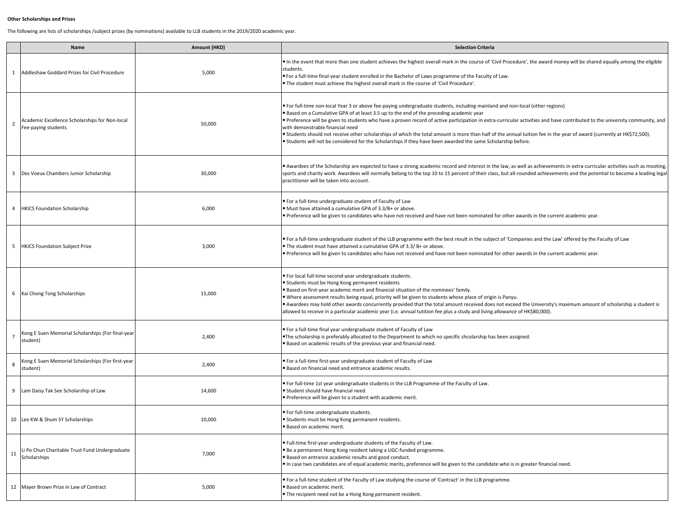## **Other Scholarships and Prizes**

The following are lists of scholarships /subject prizes (by nominations) available to LLB students in the 2019/2020 academic year.

|                | Name                                                                  | Amount (HKD) | <b>Selection Criteria</b>                                                                                                                                                                                                                                                                                                                                                                                                                                                                                                                                                                                                                                                                                                                |
|----------------|-----------------------------------------------------------------------|--------------|------------------------------------------------------------------------------------------------------------------------------------------------------------------------------------------------------------------------------------------------------------------------------------------------------------------------------------------------------------------------------------------------------------------------------------------------------------------------------------------------------------------------------------------------------------------------------------------------------------------------------------------------------------------------------------------------------------------------------------------|
| 1              | Addleshaw Goddard Prizes for Civil Procedure                          | 5,000        | In the event that more than one student achieves the highest overall mark in the course of 'Civil Procedure', the award money will be shared equally among the eligible<br>students.<br>• For a full-time final-year student enrolled in the Bachelor of Laws programme of the Faculty of Law.<br>. The student must achieve the highest overall mark in the course of 'Civil Procedure'.                                                                                                                                                                                                                                                                                                                                                |
| $\overline{2}$ | Academic Excellence Scholarships for Non-local<br>Fee-paying students | 50,000       | • For full-time non-local Year 3 or above fee-paying undergraduate students, including mainland and non-local (other regions)<br>• Based on a Cumulative GPA of at least 3.5 up to the end of the preceding academic year<br>• Preference will be given to students who have a proven record of active participation in extra-curricular activities and have contributed to the university community, and<br>with demonstrable financial need<br>• Students should not receive other scholarships of which the total amount is more than half of the annual tuition fee in the year of award (currently at HK\$72,500).<br>• Students will not be considered for the Scholarships if they have been awarded the same Scholarship before. |
| 3              | Des Voeux Chambers Junior Scholarship                                 | 30,000       | • Awardees of the Scholarship are expected to have a strong academic record and interest in the law, as well as achievements in extra-curricular activities such as mooting,<br>sports and charity work. Awardees will normally belong to the top 10 to 15 percent of their class, but all-rounded achievements and the potential to become a leading legal<br>practitioner will be taken into account.                                                                                                                                                                                                                                                                                                                                  |
| $\overline{4}$ | <b>HKICS Foundation Scholarship</b>                                   | 6,000        | • For a full-time undergraduate student of Faculty of Law<br>. Must have attained a cumulative GPA of 3.3/B+ or above.<br>• Preference will be given to candidates who have not received and have not been nominated for other awards in the current academic year.                                                                                                                                                                                                                                                                                                                                                                                                                                                                      |
| 5              | <b>HKICS Foundation Subject Prize</b>                                 | 3,000        | . For a full-time undergraduate student of the LLB programme with the best result in the subject of 'Companies and the Law' offered by the Faculty of Law<br>• The student must have attained a cumulative GPA of 3.3/ B+ or above.<br>• Preference will be given to candidates who have not received and have not been nominated for other awards in the current academic year.                                                                                                                                                                                                                                                                                                                                                         |
| 6              | Kai Chong Tong Scholarships                                           | 15,000       | . For local full-time second-year undergraduate students.<br>• Students must be Hong Kong permanent residents<br>. Based on first-year academic merit and financial situation of the nominees' family.<br>. Where assessment results being equal, priority will be given to students whose place of origin is Panyu.<br>• Awardees may hold other awards concurrently provided that the total amount received does not exceed the University's maximum amount of scholarship a student is<br>allowed to receive in a particular academic year (i.e. annual tutition fee plus a study and living allowance of HK\$80,000).                                                                                                                |
| $\overline{7}$ | Kong E Suen Memorial Scholarships (For final-year<br>student)         | 2,400        | . For a full-time final year undergraduate student of Faculty of Law<br>•The scholarship is preferably allocated to the Department to which no specific shcolarship has been assigned.<br>. Based on academic results of the previous year and financial need.                                                                                                                                                                                                                                                                                                                                                                                                                                                                           |
| 8              | Kong E Suen Memorial Scholarships (For first-year<br>student)         | 2,400        | • For a full-time first-year undergraduate student of Faculty of Law<br>· Based on financial need and entrance academic results.                                                                                                                                                                                                                                                                                                                                                                                                                                                                                                                                                                                                         |
| 9              | Lam Daisy Tak See Scholarship of Law                                  | 14,600       | . For full-time 1st year undergraduate students in the LLB Programme of the Faculty of Law.<br>· Student should have financial need.<br>· Preference will be given to a student with academic merit.                                                                                                                                                                                                                                                                                                                                                                                                                                                                                                                                     |
|                | 10 Lee KW & Shum SY Scholarships                                      | 10,000       | • For full-time undergraduate students.<br>• Students must be Hong Kong permanent residents.<br>• Based on academic merit.                                                                                                                                                                                                                                                                                                                                                                                                                                                                                                                                                                                                               |
| 11             | i Po Chun Charitable Trust Fund Undergraduate<br>Scholarships         | 7,000        | . Full-time first-year undergraduate students of the Faculty of Law.<br>· Be a permanent Hong Kong resident taking a UGC-funded programme.<br>· Based on entrance academic results and good conduct.<br>• In case two candidates are of equal academic merits, preference will be given to the candidate who is in greater financial need.                                                                                                                                                                                                                                                                                                                                                                                               |
| 12             | Mayer Brown Prize in Law of Contract                                  | 5,000        | • For a full-time student of the Faculty of Law studying the course of 'Contract' in the LLB programme.<br>· Based on academic merit.<br>• The recipient need not be a Hong Kong permanent resident.                                                                                                                                                                                                                                                                                                                                                                                                                                                                                                                                     |